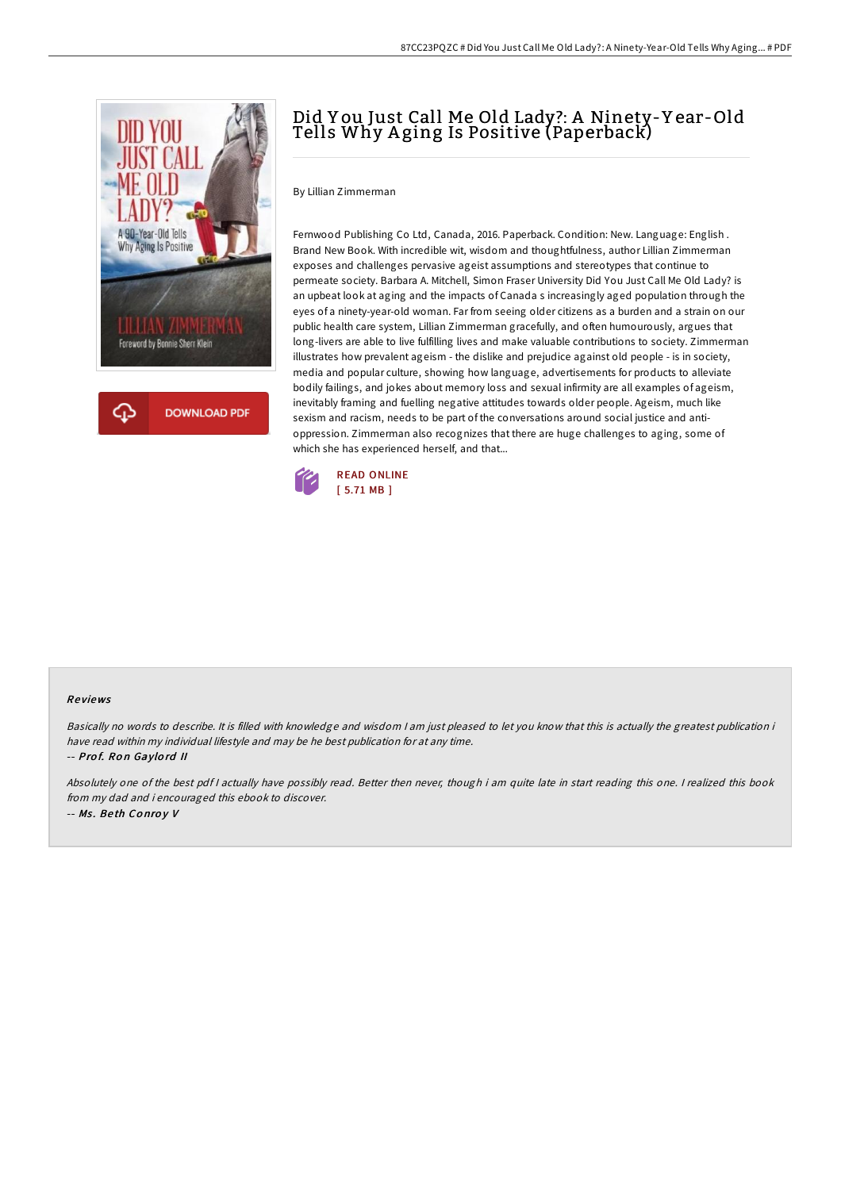

# Did Y ou Just Call Me Old Lady?: A Ninety-Y ear-Old Tells Why A ging Is Positive (Paperback)

By Lillian Zimmerman

Fernwood Publishing Co Ltd, Canada, 2016. Paperback. Condition: New. Language: English . Brand New Book. With incredible wit, wisdom and thoughtfulness, author Lillian Zimmerman exposes and challenges pervasive ageist assumptions and stereotypes that continue to permeate society. Barbara A. Mitchell, Simon Fraser University Did You Just Call Me Old Lady? is an upbeat look at aging and the impacts of Canada s increasingly aged population through the eyes of a ninety-year-old woman. Far from seeing older citizens as a burden and a strain on our public health care system, Lillian Zimmerman gracefully, and often humourously, argues that long-livers are able to live fulfilling lives and make valuable contributions to society. Zimmerman illustrates how prevalent ageism - the dislike and prejudice against old people - is in society, media and popular culture, showing how language, advertisements for products to alleviate bodily failings, and jokes about memory loss and sexual infirmity are all examples of ageism, inevitably framing and fuelling negative attitudes towards older people. Ageism, much like sexism and racism, needs to be part of the conversations around social justice and antioppression. Zimmerman also recognizes that there are huge challenges to aging, some of which she has experienced herself, and that...



#### Re views

Basically no words to describe. It is filled with knowledge and wisdom <sup>I</sup> am just pleased to let you know that this is actually the greatest publication i have read within my individual lifestyle and may be he best publication for at any time. -- Prof. Ron Gaylord II

Absolutely one of the best pdf I actually have possibly read. Better then never, though i am quite late in start reading this one. I realized this book from my dad and i encouraged this ebook to discover. -- Ms . Be th Co nro y V